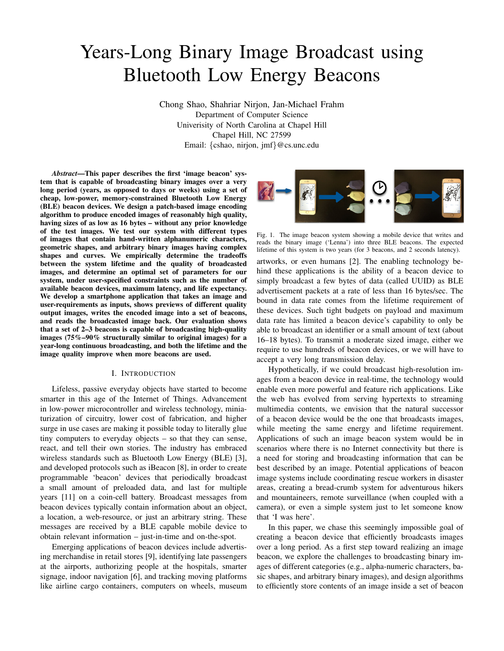# Years-Long Binary Image Broadcast using Bluetooth Low Energy Beacons

Chong Shao, Shahriar Nirjon, Jan-Michael Frahm Department of Computer Science Univerisity of North Carolina at Chapel Hill Chapel Hill, NC 27599 Email: {cshao, nirjon, jmf}@cs.unc.edu

*Abstract*—This paper describes the first 'image beacon' system that is capable of broadcasting binary images over a very long period (years, as opposed to days or weeks) using a set of cheap, low-power, memory-constrained Bluetooth Low Energy (BLE) beacon devices. We design a patch-based image encoding algorithm to produce encoded images of reasonably high quality, having sizes of as low as 16 bytes – without any prior knowledge of the test images. We test our system with different types of images that contain hand-written alphanumeric characters, geometric shapes, and arbitrary binary images having complex shapes and curves. We empirically determine the tradeoffs between the system lifetime and the quality of broadcasted images, and determine an optimal set of parameters for our system, under user-specified constraints such as the number of available beacon devices, maximum latency, and life expectancy. We develop a smartphone application that takes an image and user-requirements as inputs, shows previews of different quality output images, writes the encoded image into a set of beacons, and reads the broadcasted image back. Our evaluation shows that a set of 2–3 beacons is capable of broadcasting high-quality images (75%–90% structurally similar to original images) for a year-long continuous broadcasting, and both the lifetime and the image quality improve when more beacons are used.

## I. INTRODUCTION

Lifeless, passive everyday objects have started to become smarter in this age of the Internet of Things. Advancement in low-power microcontroller and wireless technology, miniaturization of circuitry, lower cost of fabrication, and higher surge in use cases are making it possible today to literally glue tiny computers to everyday objects – so that they can sense, react, and tell their own stories. The industry has embraced wireless standards such as Bluetooth Low Energy (BLE) [3], and developed protocols such as iBeacon [8], in order to create programmable 'beacon' devices that periodically broadcast a small amount of preloaded data, and last for multiple years [11] on a coin-cell battery. Broadcast messages from beacon devices typically contain information about an object, a location, a web-resource, or just an arbitrary string. These messages are received by a BLE capable mobile device to obtain relevant information – just-in-time and on-the-spot.

Emerging applications of beacon devices include advertising merchandise in retail stores [9], identifying late passengers at the airports, authorizing people at the hospitals, smarter signage, indoor navigation [6], and tracking moving platforms like airline cargo containers, computers on wheels, museum



Fig. 1. The image beacon system showing a mobile device that writes and reads the binary image ('Lenna') into three BLE beacons. The expected lifetime of this system is two years (for 3 beacons, and 2 seconds latency).

artworks, or even humans [2]. The enabling technology behind these applications is the ability of a beacon device to simply broadcast a few bytes of data (called UUID) as BLE advertisement packets at a rate of less than 16 bytes/sec. The bound in data rate comes from the lifetime requirement of these devices. Such tight budgets on payload and maximum data rate has limited a beacon device's capability to only be able to broadcast an identifier or a small amount of text (about 16–18 bytes). To transmit a moderate sized image, either we require to use hundreds of beacon devices, or we will have to accept a very long transmission delay.

Hypothetically, if we could broadcast high-resolution images from a beacon device in real-time, the technology would enable even more powerful and feature rich applications. Like the web has evolved from serving hypertexts to streaming multimedia contents, we envision that the natural successor of a beacon device would be the one that broadcasts images, while meeting the same energy and lifetime requirement. Applications of such an image beacon system would be in scenarios where there is no Internet connectivity but there is a need for storing and broadcasting information that can be best described by an image. Potential applications of beacon image systems include coordinating rescue workers in disaster areas, creating a bread-crumb system for adventurous hikers and mountaineers, remote surveillance (when coupled with a camera), or even a simple system just to let someone know that 'I was here'.

In this paper, we chase this seemingly impossible goal of creating a beacon device that efficiently broadcasts images over a long period. As a first step toward realizing an image beacon, we explore the challenges to broadcasting binary images of different categories (e.g., alpha-numeric characters, basic shapes, and arbitrary binary images), and design algorithms to efficiently store contents of an image inside a set of beacon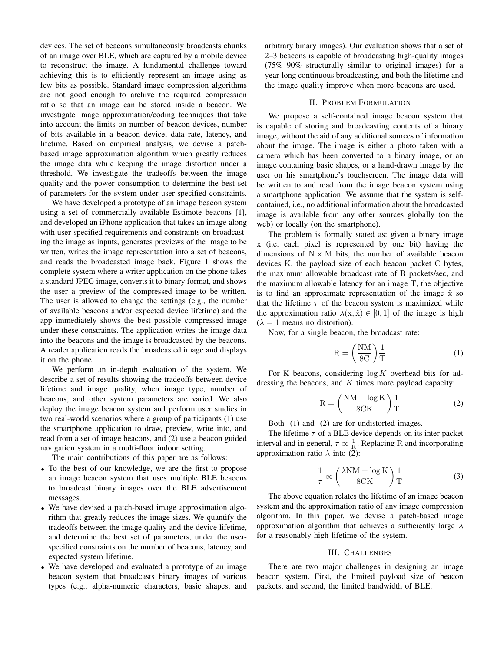devices. The set of beacons simultaneously broadcasts chunks of an image over BLE, which are captured by a mobile device to reconstruct the image. A fundamental challenge toward achieving this is to efficiently represent an image using as few bits as possible. Standard image compression algorithms are not good enough to archive the required compression ratio so that an image can be stored inside a beacon. We investigate image approximation/coding techniques that take into account the limits on number of beacon devices, number of bits available in a beacon device, data rate, latency, and lifetime. Based on empirical analysis, we devise a patchbased image approximation algorithm which greatly reduces the image data while keeping the image distortion under a threshold. We investigate the tradeoffs between the image quality and the power consumption to determine the best set of parameters for the system under user-specified constraints.

We have developed a prototype of an image beacon system using a set of commercially available Estimote beacons [1], and developed an iPhone application that takes an image along with user-specified requirements and constraints on broadcasting the image as inputs, generates previews of the image to be written, writes the image representation into a set of beacons, and reads the broadcasted image back. Figure 1 shows the complete system where a writer application on the phone takes a standard JPEG image, converts it to binary format, and shows the user a preview of the compressed image to be written. The user is allowed to change the settings (e.g., the number of available beacons and/or expected device lifetime) and the app immediately shows the best possible compressed image under these constraints. The application writes the image data into the beacons and the image is broadcasted by the beacons. A reader application reads the broadcasted image and displays it on the phone.

We perform an in-depth evaluation of the system. We describe a set of results showing the tradeoffs between device lifetime and image quality, when image type, number of beacons, and other system parameters are varied. We also deploy the image beacon system and perform user studies in two real-world scenarios where a group of participants (1) use the smartphone application to draw, preview, write into, and read from a set of image beacons, and (2) use a beacon guided navigation system in a multi-floor indoor setting.

The main contributions of this paper are as follows:

- To the best of our knowledge, we are the first to propose an image beacon system that uses multiple BLE beacons to broadcast binary images over the BLE advertisement messages.
- We have devised a patch-based image approximation algorithm that greatly reduces the image sizes. We quantify the tradeoffs between the image quality and the device lifetime, and determine the best set of parameters, under the userspecified constraints on the number of beacons, latency, and expected system lifetime.
- We have developed and evaluated a prototype of an image beacon system that broadcasts binary images of various types (e.g., alpha-numeric characters, basic shapes, and

arbitrary binary images). Our evaluation shows that a set of 2–3 beacons is capable of broadcasting high-quality images (75%–90% structurally similar to original images) for a year-long continuous broadcasting, and both the lifetime and the image quality improve when more beacons are used.

# II. PROBLEM FORMULATION

We propose a self-contained image beacon system that is capable of storing and broadcasting contents of a binary image, without the aid of any additional sources of information about the image. The image is either a photo taken with a camera which has been converted to a binary image, or an image containing basic shapes, or a hand-drawn image by the user on his smartphone's touchscreen. The image data will be written to and read from the image beacon system using a smartphone application. We assume that the system is selfcontained, i.e., no additional information about the broadcasted image is available from any other sources globally (on the web) or locally (on the smartphone).

The problem is formally stated as: given a binary image x (i.e. each pixel is represented by one bit) having the dimensions of  $N \times M$  bits, the number of available beacon devices K, the payload size of each beacon packet C bytes, the maximum allowable broadcast rate of R packets/sec, and the maximum allowable latency for an image T, the objective is to find an approximate representation of the image  $\hat{x}$  so that the lifetime  $\tau$  of the beacon system is maximized while the approximation ratio  $\lambda(x, \hat{x}) \in [0, 1]$  of the image is high  $(\lambda = 1$  means no distortion).

Now, for a single beacon, the broadcast rate:

$$
R = \left(\frac{NM}{8C}\right)\frac{1}{T} \tag{1}
$$

For K beacons, considering  $log K$  overhead bits for addressing the beacons, and  $K$  times more payload capacity:

$$
R = \left(\frac{NM + \log K}{8CK}\right)\frac{1}{T}
$$
 (2)

Both (1) and (2) are for undistorted images.

The lifetime  $\tau$  of a BLE device depends on its inter packet interval and in general,  $\tau \propto \frac{1}{R}$ . Replacing R and incorporating approximation ratio  $\lambda$  into (2):

$$
\frac{1}{\tau} \propto \left(\frac{\lambda \text{NM} + \log \text{K}}{8\text{CK}}\right) \frac{1}{\text{T}} \tag{3}
$$

The above equation relates the lifetime of an image beacon system and the approximation ratio of any image compression algorithm. In this paper, we devise a patch-based image approximation algorithm that achieves a sufficiently large  $\lambda$ for a reasonably high lifetime of the system.

#### III. CHALLENGES

There are two major challenges in designing an image beacon system. First, the limited payload size of beacon packets, and second, the limited bandwidth of BLE.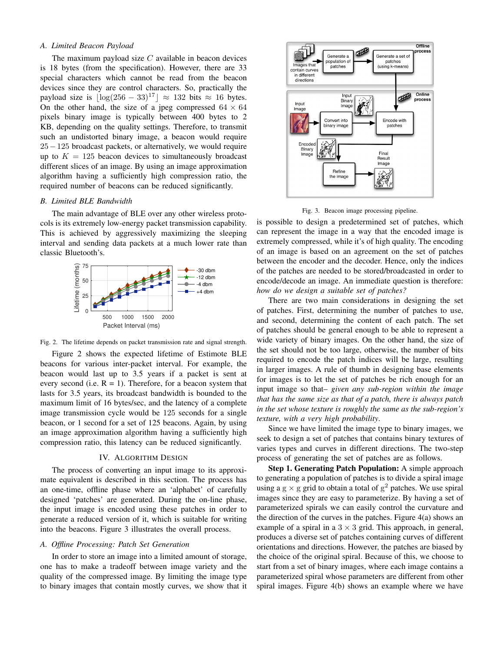# *A. Limited Beacon Payload*

The maximum payload size  $C$  available in beacon devices is 18 bytes (from the specification). However, there are 33 special characters which cannot be read from the beacon devices since they are control characters. So, practically the payload size is  $|\log(256 - 33)^{17}| \approx 132$  bits  $\approx 16$  bytes. On the other hand, the size of a jpeg compressed  $64 \times 64$ pixels binary image is typically between 400 bytes to 2 KB, depending on the quality settings. Therefore, to transmit such an undistorted binary image, a beacon would require 25−125 broadcast packets, or alternatively, we would require up to  $K = 125$  beacon devices to simultaneously broadcast different slices of an image. By using an image approximation algorithm having a sufficiently high compression ratio, the required number of beacons can be reduced significantly.

### *B. Limited BLE Bandwidth*

The main advantage of BLE over any other wireless protocols is its extremely low-energy packet transmission capability. This is achieved by aggressively maximizing the sleeping interval and sending data packets at a much lower rate than classic Bluetooth's.



Fig. 2. The lifetime depends on packet transmission rate and signal strength.

Figure 2 shows the expected lifetime of Estimote BLE beacons for various inter-packet interval. For example, the beacon would last up to 3.5 years if a packet is sent at every second (i.e.  $R = 1$ ). Therefore, for a beacon system that lasts for 3.5 years, its broadcast bandwidth is bounded to the maximum limit of 16 bytes/sec, and the latency of a complete image transmission cycle would be 125 seconds for a single beacon, or 1 second for a set of 125 beacons. Again, by using an image approximation algorithm having a sufficiently high compression ratio, this latency can be reduced significantly.

## IV. ALGORITHM DESIGN

The process of converting an input image to its approximate equivalent is described in this section. The process has an one-time, offline phase where an 'alphabet' of carefully designed 'patches' are generated. During the on-line phase, the input image is encoded using these patches in order to generate a reduced version of it, which is suitable for writing into the beacons. Figure 3 illustrates the overall process.

## *A. Offline Processing: Patch Set Generation*

In order to store an image into a limited amount of storage, one has to make a tradeoff between image variety and the quality of the compressed image. By limiting the image type to binary images that contain mostly curves, we show that it



Fig. 3. Beacon image processing pipeline.

is possible to design a predetermined set of patches, which can represent the image in a way that the encoded image is extremely compressed, while it's of high quality. The encoding of an image is based on an agreement on the set of patches between the encoder and the decoder. Hence, only the indices of the patches are needed to be stored/broadcasted in order to encode/decode an image. An immediate question is therefore: *how do we design a suitable set of patches?*

There are two main considerations in designing the set of patches. First, determining the number of patches to use, and second, determining the content of each patch. The set of patches should be general enough to be able to represent a wide variety of binary images. On the other hand, the size of the set should not be too large, otherwise, the number of bits required to encode the patch indices will be large, resulting in larger images. A rule of thumb in designing base elements for images is to let the set of patches be rich enough for an input image so that– *given any sub-region within the image that has the same size as that of a patch, there is always patch in the set whose texture is roughly the same as the sub-region's texture, with a very high probability*.

Since we have limited the image type to binary images, we seek to design a set of patches that contains binary textures of varies types and curves in different directions. The two-step process of generating the set of patches are as follows.

Step 1. Generating Patch Population: A simple approach to generating a population of patches is to divide a spiral image using a g  $\times$  g grid to obtain a total of g<sup>2</sup> patches. We use spiral images since they are easy to parameterize. By having a set of parameterized spirals we can easily control the curvature and the direction of the curves in the patches. Figure 4(a) shows an example of a spiral in a  $3 \times 3$  grid. This approach, in general, produces a diverse set of patches containing curves of different orientations and directions. However, the patches are biased by the choice of the original spiral. Because of this, we choose to start from a set of binary images, where each image contains a parameterized spiral whose parameters are different from other spiral images. Figure 4(b) shows an example where we have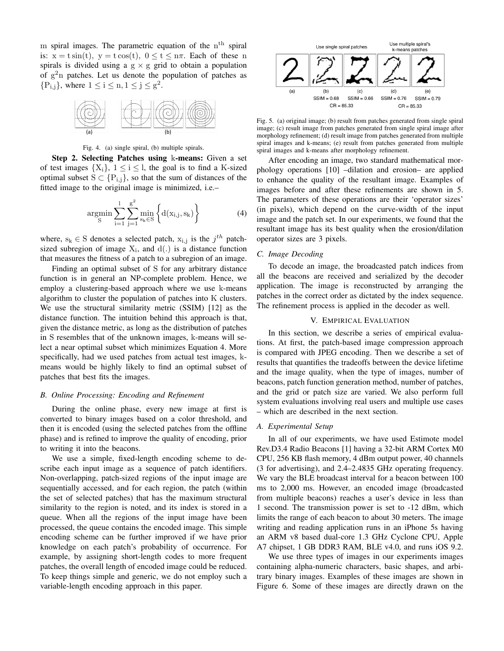m spiral images. The parametric equation of the  $n<sup>th</sup>$  spiral is:  $x = t \sin(t)$ ,  $y = t \cos(t)$ ,  $0 \le t \le n\pi$ . Each of these n spirals is divided using a  $g \times g$  grid to obtain a population of  $g<sup>2</sup>n$  patches. Let us denote the population of patches as  ${P_{i,j}}$ , where  $1 \le i \le n, 1 \le j \le g^2$ .



Fig. 4. (a) single spiral, (b) multiple spirals.

Step 2. Selecting Patches using k-means: Given a set of test images  $\{X_i\}$ ,  $1 \le i \le l$ , the goal is to find a K-sized optimal subset  $S \subset \{P_{i,j}\}\$ , so that the sum of distances of the fitted image to the original image is minimized, i.e.–

$$
\underset{\mathrm{S}}{\mathrm{argmin}} \sum_{\mathrm{i=1}}^{l} \sum_{\mathrm{j=1}}^{\mathrm{g}^2} \underset{\mathrm{s_k} \in \mathrm{S}}{\mathrm{min}} \left\{ \mathrm{d}(x_{\mathrm{i,j}}, s_{\mathrm{k}}) \right\} \tag{4}
$$

where,  $s_k \in S$  denotes a selected patch,  $x_{i,j}$  is the  $j^{th}$  patchsized subregion of image  $X_i$ , and  $d(.)$  is a distance function that measures the fitness of a patch to a subregion of an image.

Finding an optimal subset of S for any arbitrary distance function is in general an NP-complete problem. Hence, we employ a clustering-based approach where we use k-means algorithm to cluster the population of patches into K clusters. We use the structural similarity metric (SSIM) [12] as the distance function. The intuition behind this approach is that, given the distance metric, as long as the distribution of patches in S resembles that of the unknown images, k-means will select a near optimal subset which minimizes Equation 4. More specifically, had we used patches from actual test images, kmeans would be highly likely to find an optimal subset of patches that best fits the images.

### *B. Online Processing: Encoding and Refinement*

During the online phase, every new image at first is converted to binary images based on a color threshold, and then it is encoded (using the selected patches from the offline phase) and is refined to improve the quality of encoding, prior to writing it into the beacons.

We use a simple, fixed-length encoding scheme to describe each input image as a sequence of patch identifiers. Non-overlapping, patch-sized regions of the input image are sequentially accessed, and for each region, the patch (within the set of selected patches) that has the maximum structural similarity to the region is noted, and its index is stored in a queue. When all the regions of the input image have been processed, the queue contains the encoded image. This simple encoding scheme can be further improved if we have prior knowledge on each patch's probability of occurrence. For example, by assigning short-length codes to more frequent patches, the overall length of encoded image could be reduced. To keep things simple and generic, we do not employ such a variable-length encoding approach in this paper.



Fig. 5. (a) original image; (b) result from patches generated from single spiral image; (c) result image from patches generated from single spiral image after morphology refinement; (d) result image from patches generated from multiple spiral images and k-means; (e) result from patches generated from multiple spiral images and k-means after morphology refinement.

After encoding an image, two standard mathematical morphology operations [10] –dilation and erosion– are applied to enhance the quality of the resultant image. Examples of images before and after these refinements are shown in 5. The parameters of these operations are their 'operator sizes' (in pixels), which depend on the curve-width of the input image and the patch set. In our experiments, we found that the resultant image has its best quality when the erosion/dilation operator sizes are 3 pixels.

# *C. Image Decoding*

To decode an image, the broadcasted patch indices from all the beacons are received and serialized by the decoder application. The image is reconstructed by arranging the patches in the correct order as dictated by the index sequence. The refinement process is applied in the decoder as well.

## V. EMPIRICAL EVALUATION

In this section, we describe a series of empirical evaluations. At first, the patch-based image compression approach is compared with JPEG encoding. Then we describe a set of results that quantifies the tradeoffs between the device lifetime and the image quality, when the type of images, number of beacons, patch function generation method, number of patches, and the grid or patch size are varied. We also perform full system evaluations involving real users and multiple use cases – which are described in the next section.

## *A. Experimental Setup*

In all of our experiments, we have used Estimote model Rev.D3.4 Radio Beacons [1] having a 32-bit ARM Cortex M0 CPU, 256 KB flash memory, 4 dBm output power, 40 channels (3 for advertising), and 2.4–2.4835 GHz operating frequency. We vary the BLE broadcast interval for a beacon between 100 ms to 2,000 ms. However, an encoded image (broadcasted from multiple beacons) reaches a user's device in less than 1 second. The transmission power is set to -12 dBm, which limits the range of each beacon to about 30 meters. The image writing and reading application runs in an iPhone 5s having an ARM v8 based dual-core 1.3 GHz Cyclone CPU, Apple A7 chipset, 1 GB DDR3 RAM, BLE v4.0, and runs iOS 9.2.

We use three types of images in our experiments images containing alpha-numeric characters, basic shapes, and arbitrary binary images. Examples of these images are shown in Figure 6. Some of these images are directly drawn on the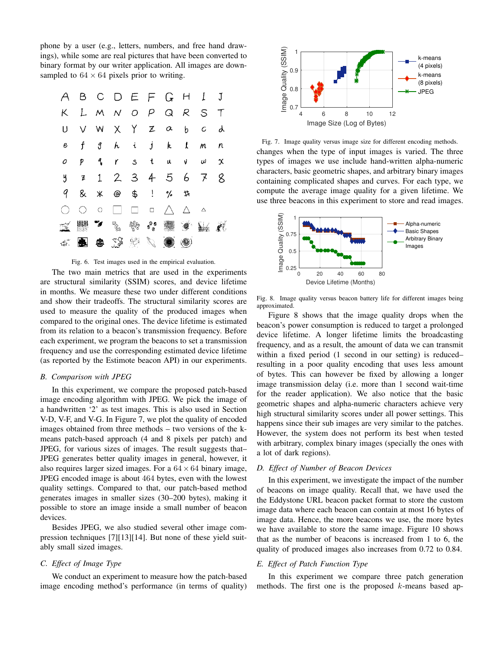phone by a user (e.g., letters, numbers, and free hand drawings), while some are real pictures that have been converted to binary format by our writer application. All images are downsampled to  $64 \times 64$  pixels prior to writing.





The two main metrics that are used in the experiments are structural similarity (SSIM) scores, and device lifetime in months. We measure these two under different conditions and show their tradeoffs. The structural similarity scores are used to measure the quality of the produced images when compared to the original ones. The device lifetime is estimated from its relation to a beacon's transmission frequency. Before each experiment, we program the beacons to set a transmission frequency and use the corresponding estimated device lifetime (as reported by the Estimote beacon API) in our experiments.

#### *B. Comparison with JPEG*

In this experiment, we compare the proposed patch-based image encoding algorithm with JPEG. We pick the image of a handwritten '2' as test images. This is also used in Section V-D, V-F, and V-G. In Figure 7, we plot the quality of encoded images obtained from three methods – two versions of the kmeans patch-based approach (4 and 8 pixels per patch) and JPEG, for various sizes of images. The result suggests that– JPEG generates better quality images in general, however, it also requires larger sized images. For a  $64 \times 64$  binary image, JPEG encoded image is about 464 bytes, even with the lowest quality settings. Compared to that, our patch-based method generates images in smaller sizes (30–200 bytes), making it possible to store an image inside a small number of beacon devices.

Besides JPEG, we also studied several other image compression techniques [7][13][14]. But none of these yield suitably small sized images.

# *C. Effect of Image Type*

We conduct an experiment to measure how the patch-based image encoding method's performance (in terms of quality)



Fig. 7. Image quality versus image size for different encoding methods. changes when the type of input images is varied. The three types of images we use include hand-written alpha-numeric characters, basic geometric shapes, and arbitrary binary images containing complicated shapes and curves. For each type, we compute the average image quality for a given lifetime. We use three beacons in this experiment to store and read images.



Fig. 8. Image quality versus beacon battery life for different images being approximated.

Figure 8 shows that the image quality drops when the beacon's power consumption is reduced to target a prolonged device lifetime. A longer lifetime limits the broadcasting frequency, and as a result, the amount of data we can transmit within a fixed period (1 second in our setting) is reduced– resulting in a poor quality encoding that uses less amount of bytes. This can however be fixed by allowing a longer image transmission delay (i.e. more than 1 second wait-time for the reader application). We also notice that the basic geometric shapes and alpha-numeric characters achieve very high structural similarity scores under all power settings. This happens since their sub images are very similar to the patches. However, the system does not perform its best when tested with arbitrary, complex binary images (specially the ones with a lot of dark regions).

### *D. Effect of Number of Beacon Devices*

In this experiment, we investigate the impact of the number of beacons on image quality. Recall that, we have used the the Eddystone URL beacon packet format to store the custom image data where each beacon can contain at most 16 bytes of image data. Hence, the more beacons we use, the more bytes we have available to store the same image. Figure 10 shows that as the number of beacons is increased from 1 to 6, the quality of produced images also increases from 0.72 to 0.84.

# *E. Effect of Patch Function Type*

In this experiment we compare three patch generation methods. The first one is the proposed  $k$ -means based ap-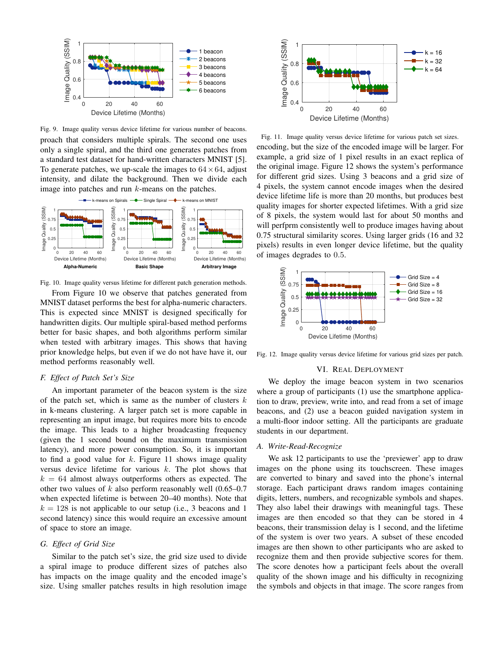

Fig. 9. Image quality versus device lifetime for various number of beacons. proach that considers multiple spirals. The second one uses only a single spiral, and the third one generates patches from a standard test dataset for hand-written characters MNIST [5]. To generate patches, we up-scale the images to  $64 \times 64$ , adjust intensity, and dilate the background. Then we divide each image into patches and run  $k$ -means on the patches.



Fig. 10. Image quality versus lifetime for different patch generation methods.

From Figure 10 we observe that patches generated from MNIST dataset performs the best for alpha-numeric characters. This is expected since MNIST is designed specifically for handwritten digits. Our multiple spiral-based method performs better for basic shapes, and both algorithms perform similar when tested with arbitrary images. This shows that having prior knowledge helps, but even if we do not have have it, our method performs reasonably well.

## *F. Effect of Patch Set's Size*

An important parameter of the beacon system is the size of the patch set, which is same as the number of clusters  $k$ in k-means clustering. A larger patch set is more capable in representing an input image, but requires more bits to encode the image. This leads to a higher broadcasting frequency (given the 1 second bound on the maximum transmission latency), and more power consumption. So, it is important to find a good value for  $k$ . Figure 11 shows image quality versus device lifetime for various  $k$ . The plot shows that  $k = 64$  almost always outperforms others as expected. The other two values of  $k$  also perform reasonably well  $(0.65-0.7)$ when expected lifetime is between 20–40 months). Note that  $k = 128$  is not applicable to our setup (i.e., 3 beacons and 1 second latency) since this would require an excessive amount of space to store an image.

## *G. Effect of Grid Size*

Similar to the patch set's size, the grid size used to divide a spiral image to produce different sizes of patches also has impacts on the image quality and the encoded image's size. Using smaller patches results in high resolution image



Fig. 11. Image quality versus device lifetime for various patch set sizes. encoding, but the size of the encoded image will be larger. For example, a grid size of 1 pixel results in an exact replica of the original image. Figure 12 shows the system's performance for different grid sizes. Using 3 beacons and a grid size of 4 pixels, the system cannot encode images when the desired device lifetime life is more than 20 months, but produces best quality images for shorter expected lifetimes. With a grid size of 8 pixels, the system would last for about 50 months and will perfprm consistently well to produce images having about 0.75 structural similarity scores. Using larger grids (16 and 32 pixels) results in even longer device lifetime, but the quality of images degrades to 0.5.



Fig. 12. Image quality versus device lifetime for various grid sizes per patch.

#### VI. REAL DEPLOYMENT

We deploy the image beacon system in two scenarios where a group of participants (1) use the smartphone application to draw, preview, write into, and read from a set of image beacons, and (2) use a beacon guided navigation system in a multi-floor indoor setting. All the participants are graduate students in our department.

## *A. Write-Read-Recognize*

We ask 12 participants to use the 'previewer' app to draw images on the phone using its touchscreen. These images are converted to binary and saved into the phone's internal storage. Each participant draws random images containing digits, letters, numbers, and recognizable symbols and shapes. They also label their drawings with meaningful tags. These images are then encoded so that they can be stored in 4 beacons, their transmission delay is 1 second, and the lifetime of the system is over two years. A subset of these encoded images are then shown to other participants who are asked to recognize them and then provide subjective scores for them. The score denotes how a participant feels about the overall quality of the shown image and his difficulty in recognizing the symbols and objects in that image. The score ranges from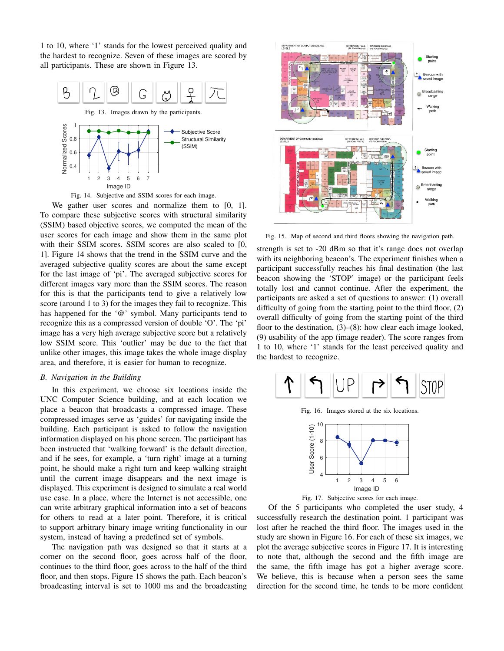1 to 10, where '1' stands for the lowest perceived quality and the hardest to recognize. Seven of these images are scored by all participants. These are shown in Figure 13.





We gather user scores and normalize them to [0, 1]. To compare these subjective scores with structural similarity (SSIM) based objective scores, we computed the mean of the user scores for each image and show them in the same plot with their SSIM scores. SSIM scores are also scaled to [0, 1]. Figure 14 shows that the trend in the SSIM curve and the averaged subjective quality scores are about the same except for the last image of 'pi'. The averaged subjective scores for different images vary more than the SSIM scores. The reason for this is that the participants tend to give a relatively low score (around 1 to 3) for the images they fail to recognize. This has happened for the '@' symbol. Many participants tend to recognize this as a compressed version of double 'O'. The 'pi' image has a very high average subjective score but a relatively low SSIM score. This 'outlier' may be due to the fact that unlike other images, this image takes the whole image display area, and therefore, it is easier for human to recognize.

#### *B. Navigation in the Building*

In this experiment, we choose six locations inside the UNC Computer Science building, and at each location we place a beacon that broadcasts a compressed image. These compressed images serve as 'guides' for navigating inside the building. Each participant is asked to follow the navigation information displayed on his phone screen. The participant has been instructed that 'walking forward' is the default direction, and if he sees, for example, a 'turn right' image at a turning point, he should make a right turn and keep walking straight until the current image disappears and the next image is displayed. This experiment is designed to simulate a real world use case. In a place, where the Internet is not accessible, one can write arbitrary graphical information into a set of beacons for others to read at a later point. Therefore, it is critical to support arbitrary binary image writing functionality in our system, instead of having a predefined set of symbols.

The navigation path was designed so that it starts at a corner on the second floor, goes across half of the floor, continues to the third floor, goes across to the half of the third floor, and then stops. Figure 15 shows the path. Each beacon's broadcasting interval is set to 1000 ms and the broadcasting



Fig. 15. Map of second and third floors showing the navigation path.

strength is set to -20 dBm so that it's range does not overlap with its neighboring beacon's. The experiment finishes when a participant successfully reaches his final destination (the last beacon showing the 'STOP' image) or the participant feels totally lost and cannot continue. After the experiment, the participants are asked a set of questions to answer: (1) overall difficulty of going from the starting point to the third floor, (2) overall difficulty of going from the starting point of the third floor to the destination, (3)–(8): how clear each image looked, (9) usability of the app (image reader). The score ranges from 1 to 10, where '1' stands for the least perceived quality and the hardest to recognize.



Fig. 16. Images stored at the six locations.





Of the 5 participants who completed the user study, 4 successfully research the destination point. 1 participant was lost after he reached the third floor. The images used in the study are shown in Figure 16. For each of these six images, we plot the average subjective scores in Figure 17. It is interesting to note that, although the second and the fifth image are the same, the fifth image has got a higher average score. We believe, this is because when a person sees the same direction for the second time, he tends to be more confident